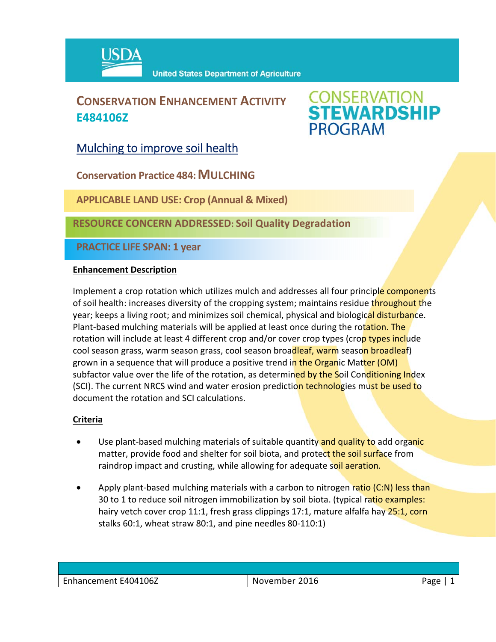

## **CONSERVATION ENHANCEMENT ACTIVITY E484106Z**

# **CONSERVATION<br>STEWARDSHIP PROGRAM**

Mulching to improve soil health

**Conservation Practice 484: MULCHING** 

**APPLICABLE LAND USE: Crop (Annual & Mixed)**

**RESOURCE CONCERN ADDRESSED: Soil Quality Degradation** 

**PRACTICE LIFE SPAN: 1 year**

### **Enhancement Description**

Implement a crop rotation which utilizes mulch and addresses all four principle components of soil health: increases diversity of the cropping system; maintains residue throughout the year; keeps a living root; and minimizes soil chemical, physical and biological disturbance. Plant-based mulching materials will be applied at least once during the rotation. The rotation will include at least 4 different crop and/or cover crop types (crop types include cool season grass, warm season grass, cool season broadleaf, warm season broadleaf) grown in a sequence that will produce a positive trend in the Organic Matter (OM) subfactor value over the life of the rotation, as determined by the Soil Conditioning Index (SCI). The current NRCS wind and water erosion prediction technologies must be used to document the rotation and SCI calculations.

### **Criteria**

- Use plant-based mulching materials of suitable quantity and quality to add organic matter, provide food and shelter for soil biota, and protect the soil surface from raindrop impact and crusting, while allowing for adequate soil aeration.
- Apply plant-based mulching materials with a carbon to nitrogen ratio (C:N) less than 30 to 1 to reduce soil nitrogen immobilization by soil biota. (typical ratio examples: hairy vetch cover crop 11:1, fresh grass clippings 17:1, mature alfalfa hay 25:1, corn stalks 60:1, wheat straw 80:1, and pine needles 80‐110:1)

| Enhancement E404106Z | 2016<br>November | age' |
|----------------------|------------------|------|
|                      |                  |      |